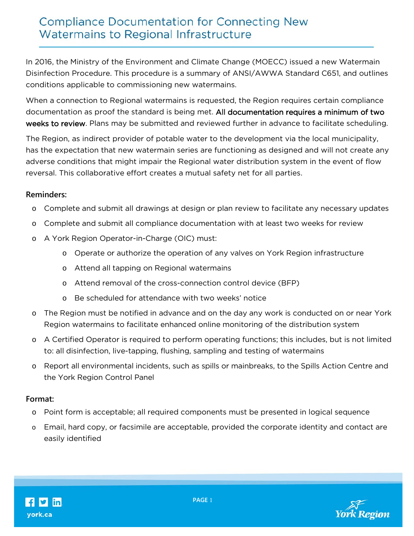## **Compliance Documentation for Connecting New** Watermains to Regional Infrastructure

In 2016, the Ministry of the Environment and Climate Change (MOECC) issued a new Watermain Disinfection Procedure. This procedure is a summary of ANSI/AWWA Standard C651, and outlines conditions applicable to commissioning new watermains.

When a connection to Regional watermains is requested, the Region requires certain compliance documentation as proof the standard is being met. All documentation requires a minimum of two weeks to review. Plans may be submitted and reviewed further in advance to facilitate scheduling.

The Region, as indirect provider of potable water to the development via the local municipality, has the expectation that new watermain series are functioning as designed and will not create any adverse conditions that might impair the Regional water distribution system in the event of flow reversal. This collaborative effort creates a mutual safety net for all parties.

## **Reminders:**

- o Complete and submit all drawings at design or plan review to facilitate any necessary updates
- o Complete and submit all compliance documentation with at least two weeks for review
- o A York Region Operator-in-Charge (OIC) must:
	- o Operate or authorize the operation of any valves on York Region infrastructure
	- o Attend all tapping on Regional watermains
	- o Attend removal of the cross-connection control device (BFP)
	- o Be scheduled for attendance with two weeks' notice
- o The Region must be notified in advance and on the day any work is conducted on or near York Region watermains to facilitate enhanced online monitoring of the distribution system
- o A Certified Operator is required to perform operating functions; this includes, but is not limited to: all disinfection, live-tapping, flushing, sampling and testing of watermains
- o Report all environmental incidents, such as spills or mainbreaks, to the Spills Action Centre and the York Region Control Panel

## **Format:**

- o Point form is acceptable; all required components must be presented in logical sequence
- o Email, hard copy, or facsimile are acceptable, provided the corporate identity and contact are easily identified



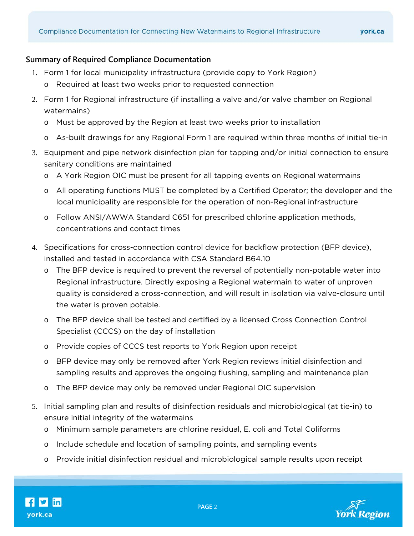## **Summary of Required Compliance Documentation**

- 1. Form 1 for local municipality infrastructure (provide copy to York Region)
	- o Required at least two weeks prior to requested connection
- 2. Form 1 for Regional infrastructure (if installing a valve and/or valve chamber on Regional watermains)
	- o Must be approved by the Region at least two weeks prior to installation
	- o As-built drawings for any Regional Form 1 are required within three months of initial tie-in
- 3. Equipment and pipe network disinfection plan for tapping and/or initial connection to ensure sanitary conditions are maintained
	- o A York Region OIC must be present for all tapping events on Regional watermains
	- o All operating functions MUST be completed by a Certified Operator; the developer and the local municipality are responsible for the operation of non-Regional infrastructure
	- o Follow ANSI/AWWA Standard C651 for prescribed chlorine application methods, concentrations and contact times
- 4. Specifications for cross-connection control device for backflow protection (BFP device), installed and tested in accordance with CSA Standard B64.10
	- o The BFP device is required to prevent the reversal of potentially non-potable water into Regional infrastructure. Directly exposing a Regional watermain to water of unproven quality is considered a cross-connection, and will result in isolation via valve-closure until the water is proven potable.
	- o The BFP device shall be tested and certified by a licensed Cross Connection Control Specialist (CCCS) on the day of installation
	- o Provide copies of CCCS test reports to York Region upon receipt
	- o BFP device may only be removed after York Region reviews initial disinfection and sampling results and approves the ongoing flushing, sampling and maintenance plan
	- o The BFP device may only be removed under Regional OIC supervision
- 5. Initial sampling plan and results of disinfection residuals and microbiological (at tie-in) to ensure initial integrity of the watermains
	- o Minimum sample parameters are chlorine residual, E. coli and Total Coliforms
	- o Include schedule and location of sampling points, and sampling events
	- o Provide initial disinfection residual and microbiological sample results upon receipt

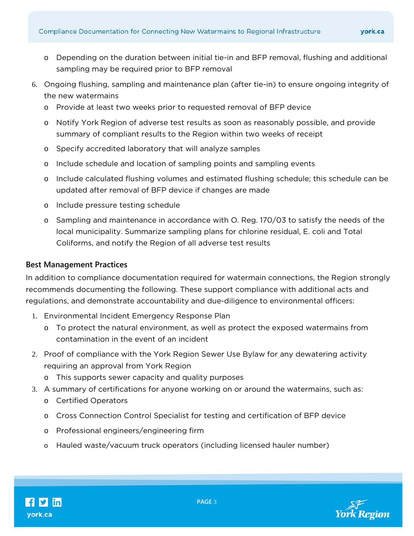- o Depending on the duration between initial tie-in and BFP removal, flushing and additional sampling may be required prior to BFP removal
- 6. Ongoing flushing, sampling and maintenance plan (after tie-in) to ensure ongoing integrity of the new watermains
	- o Provide at least two weeks prior to requested removal of BFP device
	- o Notify York Region of adverse test results as soon as reasonably possible, and provide summary of compliant results to the Region within two weeks of receipt
	- o Specify accredited laboratory that will analyze samples
	- o Include schedule and location of sampling points and sampling events
	- o Include calculated flushing volumes and estimated flushing schedule; this schedule can be updated after removal of BFP device if changes are made
	- o Include pressure testing schedule
	- o Sampling and maintenance in accordance with O. Reg. 170/03 to satisfy the needs of the local municipality. Summarize sampling plans for chlorine residual, E. coli and Total Coliforms, and notify the Region of all adverse test results

### **Best Management Practices**

In addition to compliance documentation required for watermain connections, the Region strongly recommends documenting the following. These support compliance with additional acts and regulations, and demonstrate accountability and due-diligence to environmental officers:

- 1. Environmental Incident Emergency Response Plan
	- o To protect the natural environment, as well as protect the exposed watermains from contamination in the event of an incident
- 2. Proof of compliance with the York Region Sewer Use Bylaw for any dewatering activity requiring an approval from York Region
	- o This supports sewer capacity and quality purposes
- 3. A summary of certifications for anyone working on or around the watermains, such as:
	- o Certified Operators
	- o Cross Connection Control Specialist for testing and certification of BFP device
	- o Professional engineers/engineering firm
	- o Hauled waste/vacuum truck operators (including licensed hauler number)